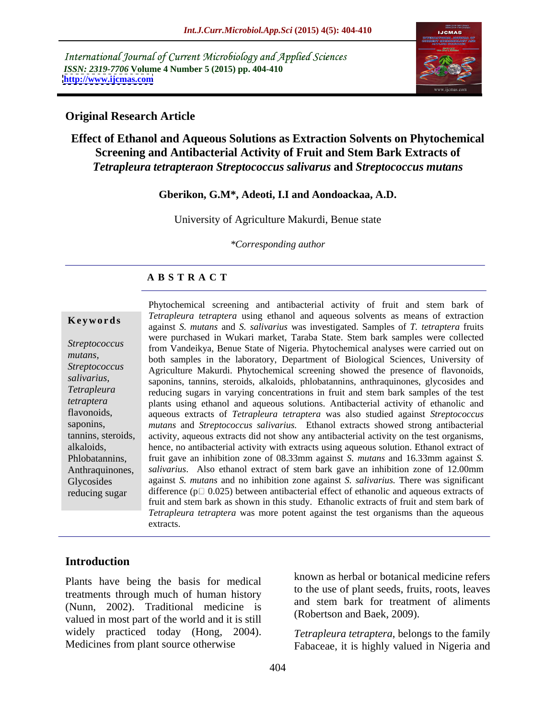International Journal of Current Microbiology and Applied Sciences *ISSN: 2319-7706* **Volume 4 Number 5 (2015) pp. 404-410 <http://www.ijcmas.com>**



# **Original Research Article**

# **Effect of Ethanol and Aqueous Solutions as Extraction Solvents on Phytochemical Screening and Antibacterial Activity of Fruit and Stem Bark Extracts of**  *Tetrapleura tetrapteraon Streptococcus salivarus* **and** *Streptococcus mutans*

### **Gberikon, G.M\*, Adeoti, I.I and Aondoackaa, A.D.**

University of Agriculture Makurdi, Benue state

*\*Corresponding author*

# **A B S T R A C T**

reducing sugar

Phytochemical screening and antibacterial activity of fruit and stem bark of *Tetrapleura tetraptera* using ethanol and aqueous solvents as means of extraction against *S. mutans* and *S. salivarius* was investigated. Samples of *T. tetraptera* fruits **Ke ywo rds** were purchased in Wukari market, Taraba State. Stem bark samples were collected from Vandeikya, Benue State of Nigeria. Phytochemical analyses were carried out on *Streptococcus*  both samples in the laboratory, Department of Biological Sciences, University of *mutans,* Agriculture Makurdi. Phytochemical screening showed the presence of flavonoids, *Streptococcus*  salivarius, saponins, tannins, steroids, alkaloids, phlobatannins, anthraquinones, glycosides and reducing sugars in varying concentrations in fruit and stem bark samples of the test *Tetrapleura* plants using ethanol and aqueous solutions. Antibacterial activity of ethanolic and *tetraptera* aqueous extracts of *Tetrapleura tetraptera* was also studied against *Streptococcus*  flavonoids, *mutans* and *Streptococcus salivarius.* Ethanol extracts showed strong antibacterial saponins, tannins, steroids, activity, aqueous extracts did not show any antibacterial activity on the test organisms, alkaloids, hence, no antibacterial activity with extracts using aqueous solution. Ethanol extract of fruit gave an inhibition zone of 08.33mm against *S. mutans* and 16.33mm against *S. salivarius*. Also ethanol extract of stem bark gave an inhibition zone of 12.00mm Glycosides against *S. mutans* and no inhibition zone against *S. salivarius*. There was significant difference ( $p \Box$  0.025) between antibacterial effect of ethanolic and aqueous extracts of fruit and stem bark as shown in this study. Ethanolic extracts of fruit and stem bark of *Tetrapleura tetraptera* was more potent against the test organisms than the aqueous extracts. Phlobatannins, fruit gave an inhibition zone of 08.33mm against S. *mutans* and 16.33mm against S. Anthraquinones, *salivarius*. Also ethanol extract of stem bark gave an inhibition zone of 12.00mm

# **Introduction**

Plants have being the basis for medical treatments through much of human history (Nunn, 2002). Traditional medicine is valued in most part of the world and it is still widely practiced today (Hong, 2004). known as herbal or botanical medicine refers to the use of plant seeds, fruits, roots, leaves and stem bark for treatment of aliments (Robertson and Baek, 2009).

Medicines from plant source otherwise Fabaceae, it is highly valued in Nigeria and *Tetrapleura tetraptera*, belongs to the family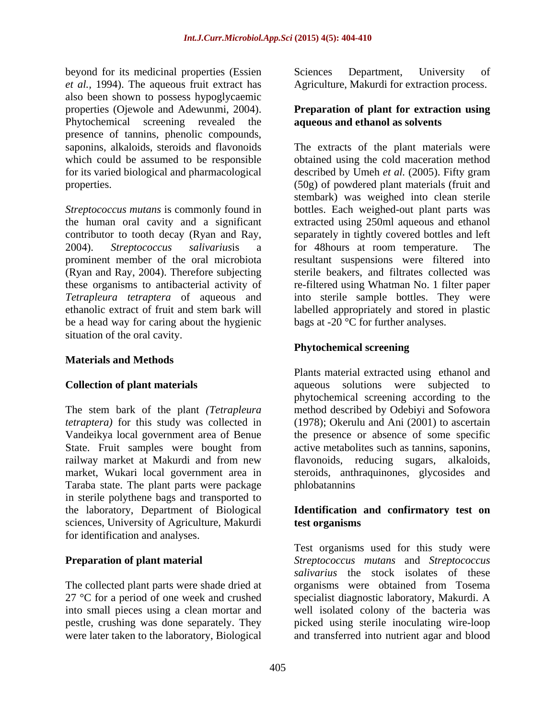beyond for its medicinal properties (Essien Sciences Department, University of *et al.,* 1994). The aqueous fruit extract has also been shown to possess hypoglycaemic properties (Ojewole and Adewunmi, 2004). **Preparation of plant for extraction using** Phytochemical screening revealed the presence of tannins, phenolic compounds,

contributor to tooth decay (Ryan and Ray, 2004). *Streptococcus salivarius*is a be a head way for caring about the hygienic situation of the oral cavity.

# **Materials and Methods**

The stem bark of the plant *(Tetrapleura tetraptera)* for this study was collected in (1978); Okerulu and Ani (2001) to ascertain Vandeikya local government area of Benue the presence or absence of some specific State. Fruit samples were bought from active metabolites such as tannins, saponins, railway market at Makurdi and from new market, Wukari local government area in steroids, anthraquinones, glycosides and Taraba state. The plant parts were package in sterile polythene bags and transported to the laboratory, Department of Biological **Identification and confirmatory test on** sciences, University of Agriculture, Makurdi test organisms for identification and analyses.

Sciences Department, University of Agriculture, Makurdi for extraction process.

# **aqueous and ethanol as solvents**

saponins, alkaloids, steroids and flavonoids The extracts of the plant materials were which could be assumed to be responsible botained using the cold maceration method for its varied biological and pharmacological described by Umeh *et al.* (2005). Fifty gram properties. (50g) of powdered plant materials (fruit and *Streptococcus mutans* is commonly found in bottles. Each weighed-out plant parts was the human oral cavity and a significant extracted using 250ml aqueous and ethanol prominent member of the oral microbiota resultant suspensions were filtered into (Ryan and Ray, 2004). Therefore subjecting sterile beakers, and filtrates collected was these organisms to antibacterial activity of re-filtered using Whatman No. 1 filter paper *Tetrapleura tetraptera* of aqueous and into sterile sample bottles. They were ethanolic extract of fruit and stem bark will labelled appropriately and stored in plastic stembark) was weighed into clean sterile separately in tightly covered bottles and left for 48hours at room temperature. The bags at -20 $\degree$ C for further analyses.

# **Phytochemical screening**

**Collection of plant materials Collection agreement agreement agreement agreement agreement agreement agreement agreement agreement agreement agreement agreement agreement agreement agreement and the collection of plant** Plants material extracted using ethanol and aqueous solutions were subjected to phytochemical screening according to the method described by Odebiyi and Sofowora flavonoids, reducing sugars, alkaloids, phlobatannins

# **test organisms**

**Preparation of plant material** *Streptococcus mutans* and *Streptococcus*  The collected plant parts were shade dried at organisms were obtained from Tosema 27 °C for a period of one week and crushed specialist diagnostic laboratory, Makurdi. A into small pieces using a clean mortar and well isolated colony of the bacteria was pestle, crushing was done separately. They picked using sterile inoculating wire-loop were later taken to the laboratory, Biological and transferred into nutrient agar and bloodTest organisms used for this study were *salivarius* the stock isolates of these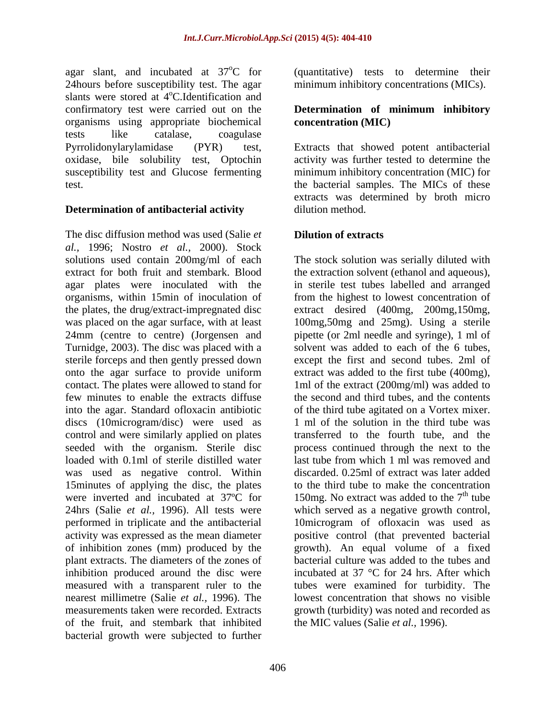24hours before susceptibility test. The agar slants were stored at 4<sup>o</sup>C. Identification and <sup>o</sup>C.Identification and confirmatory test were carried out on the **Determination of minimum inhibitory** organisms using appropriate biochemical tests like catalase, coagulase oxidase, bile solubility test, Optochin susceptibility test and Glucose fermenting

# **Determination of antibacterial activity**

The disc diffusion method was used (Salie *et al.,* 1996; Nostro *et al.,* 2000). Stock solutions used contain 200mg/ml of each The stock solution was serially diluted with extract for both fruit and stembark. Blood the extraction solvent (ethanol and aqueous), agar plates were inoculated with the in sterile test tubes labelled and arranged organisms, within 15min of inoculation of the plates, the drug/extract-impregnated disc extract desired (400mg, 200mg,150mg, was placed on the agar surface, with at least 100mg,50mg and 25mg). Using a sterile 24mm (centre to centre) (Jorgensen and Turnidge, 2003). The disc was placed with a sterile forceps and then gently pressed down except the first and second tubes. 2ml of onto the agar surface to provide uniform contact. The plates were allowed to stand for 1ml of the extract (200mg/ml) was added to few minutes to enable the extracts diffuse the second and third tubes, and the contents into the agar. Standard of loxacin antibiotic of the third tube agitated on a Vortex mixer. discs (10microgram/disc) were used as control and were similarly applied on plates transferred to the fourth tube, and the seeded with the organism. Sterile disc process continued through the next to the loaded with 0.1ml of sterile distilled water last tube from which 1 ml was removed and was used as negative control. Within 15minutes of applying the disc, the plates were inverted and incubated at  $37^{\circ}$ C for 150mg. No extract was added to the  $7^{\text{th}}$  tube 24hrs (Salie *et al.,* 1996). All tests were which served as a negative growth control, performed in triplicate and the antibacterial 10microgram of ofloxacin was used as activity was expressed as the mean diameter positive control (that prevented bacterial of inhibition zones (mm) produced by the growth). An equal volume of a fixed plant extracts. The diameters of the zones of bacterial culture was added to the tubes and inhibition produced around the disc were measured with a transparent ruler to the tubes were examined for turbidity. The nearest millimetre (Salie *et al.,* 1996). The lowest concentration that shows no visible measurements taken were recorded. Extracts growth (turbidity) was noted and recorded as of the fruit, and stembark that inhibited bacterial growth were subjected to further

agar slant, and incubated at 37<sup>o</sup>C for (quantitative) tests to determine their minimum inhibitory concentrations (MICs).

### **Determination of minimum inhibitory concentration (MIC)**

Pyrrolidonylarylamidase (PYR) test, Extracts that showed potent antibacterial test. the bacterial samples. The MICs of these activity was further tested to determine the minimum inhibitory concentration (MIC) for extracts was determined by broth micro dilution method.

# **Dilution of extracts**

from the highest to lowest concentration of pipette (or 2ml needle and syringe), 1 ml of solvent was added to each of the 6 tubes, extract was added to the first tube (400mg), 1 ml of the solution in the third tube was discarded. 0.25ml of extract was later added to the third tube to make the concentration  $\mu$ <sup>th</sup> tube incubated at 37 °C for 24 hrs. After which the MIC values (Salie *et al.,* 1996).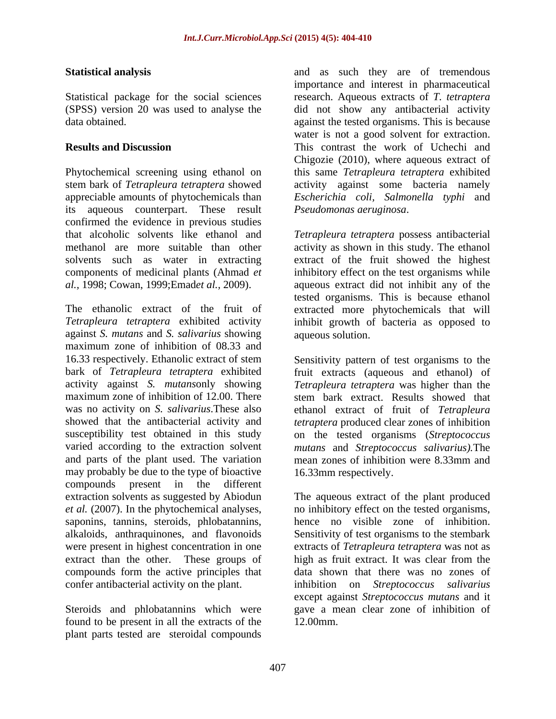Phytochemical screening using ethanol on this same *Tetrapleura tetraptera* exhibited stem bark of *Tetrapleura tetraptera* showed activity against some bacteria namely appreciable amounts of phytochemicals than *Escherichia coli, Salmonella typhi* and its aqueous counterpart. These result confirmed the evidence in previous studies that alcoholic solvents like ethanol and *Tetrapleura tetraptera* possess antibacterial methanol are more suitable than other activity as shown in this study. The ethanol solvents such as water in extracting extract of the fruit showed the highest components of medicinal plants (Ahmad *et*  inhibitory effect on the test organisms while *al.,* 1998; Cowan, 1999;Emad*et al.,* 2009). aqueous extract did not inhibit any of the

The ethanolic extract of the fruit of extracted more phytochemicals that will *Tetrapleura tetraptera* exhibited activity inhibit growth of bacteria as opposed to against *S. mutans* and *S. salivarius* showing maximum zone of inhibition of 08.33 and 16.33 respectively. Ethanolic extract of stem Sensitivity pattern of test organisms to the bark of *Tetrapleura tetraptera* exhibited fruit extracts (aqueous and ethanol) of activity against *S. mutans*only showing *Tetrapleura tetraptera* was higher than the maximum zone of inhibition of 12.00. There stem bark extract. Results showed that was no activity on *S. salivarius*. These also ethanol extract of fruit of *Tetrapleura* showed that the antibacterial activity and *tetraptera* produced clear zones of inhibition susceptibility test obtained in this study on the tested organisms (*Streptococcus*  varied according to the extraction solvent *mutans* and *Streptococcus salivarius).*The and parts of the plant used. The variation mean zones of inhibition were 8.33mm and may probably be due to the type of bioactive compounds present in the different extraction solvents as suggested by Abiodun The aqueous extract of the plant produced *et al.* (2007). In the phytochemical analyses, saponins, tannins, steroids, phlobatannins, alkaloids, anthraquinones, and flavonoids Sensitivity of test organisms to the stembark were present in highest concentration in one extracts of *Tetrapleura tetraptera* was not as extract than the other. These groups of high as fruit extract. It was clear from the compounds form the active principles that confer antibacterial activity on the plant. inhibition on *Streptococcus salivarius*

Steroids and phlobatannins which were found to be present in all the extracts of the plant parts tested are steroidal compounds

**Statistical analysis** and as such they are of tremendous Statistical package for the social sciences research. Aqueous extracts of *T. tetraptera* (SPSS) version 20 was used to analyse the did not show any antibacterial activity data obtained. against the tested organisms. This is because **Results and Discussion** This contrast the work of Uchechi and importance and interest in pharmaceutical water is not a good solvent for extraction. Chigozie (2010), where aqueous extract of *Pseudomonas aeruginosa*.

> tested organisms. This is because ethanol aqueous solution.

mean zones of inhibition were 8.33mm and 16.33mm respectively.

no inhibitory effect on the tested organisms, hence no visible zone of inhibition. data shown that there was no zones of except against *Streptococcus mutans* and it gave a mean clear zone of inhibition of 12.00mm.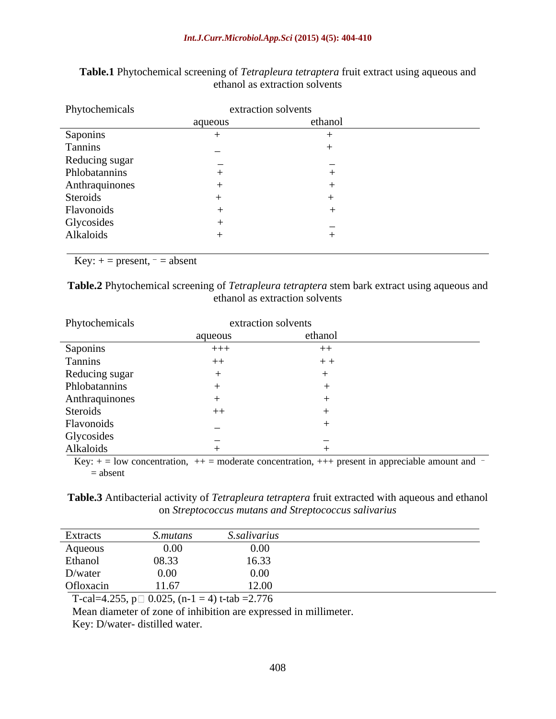| Phytochemicals          |                          | extraction solvents |
|-------------------------|--------------------------|---------------------|
|                         | aqueous                  | ethanol             |
| Saponins                |                          |                     |
| Tannins                 | $\overline{\phantom{0}}$ |                     |
| Reducing sugar          |                          |                     |
| Phlobatannins           |                          |                     |
| Anthraquinones          |                          |                     |
| Steroids                |                          |                     |
| Flavonoids              |                          |                     |
|                         |                          |                     |
| Glycosides<br>Alkaloids |                          |                     |
|                         |                          |                     |

| Table.1 Phytoc<br>al screening of <i>Tetrapleura tetraptera</i> fruit extract using aqueous and<br>chemical |  |
|-------------------------------------------------------------------------------------------------------------|--|
| ethanol as extraction solvents                                                                              |  |

Key:  $+=$  present,  $=$  absent

**Table.2** Phytochemical screening of *Tetrapleura tetraptera* stem bark extract using aqueous and ethanol as extraction solvents

| Phytochemicals                                      |         | extraction solvents |
|-----------------------------------------------------|---------|---------------------|
|                                                     | aqueous | ethanol             |
| Saponins                                            | $+++$   | $++$                |
| Tannins                                             | $++$    | $+ +$               |
| Reducing sugar                                      |         |                     |
| Phlobatannins                                       |         |                     |
| Anthraquinones                                      |         |                     |
| Steroids                                            | $++$    |                     |
| Flavonoids                                          |         |                     |
| Glycosides                                          |         |                     |
| Alkaloids<br>the control of the control of the con- |         |                     |

Key:  $+=$  low concentration,  $++$  = moderate concentration,  $++$  present in appreciable amount and  $=$  absent

**Table.3** Antibacterial activity of *Tetrapleura tetraptera* fruit extracted with aqueous and ethanol on *Streptococcus mutans and Streptococcus salivarius*

| Extracts  | S.mutans | <i>S.salivarius</i> |
|-----------|----------|---------------------|
| Aqueous   | 0.00     | 0.00                |
| Ethanol   | 08.33    | 16.33               |
| D/water   | 0.00     | 0.00                |
| Ofloxacin | 11.67    | 12.00               |

T-cal=4.255,  $p \Box 0.025$ , (n-1 = 4) t-tab = 2.776

Mean diameter of zone of inhibition are expressed in millimeter.

Key: D/water- distilled water.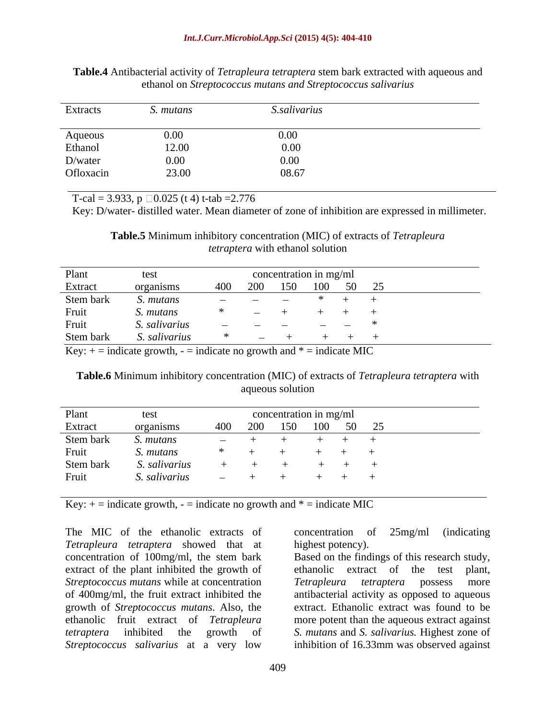| <b>Table.4</b> Antibacterial activity of <i>Tetrapleura tetraptera</i> stem bark extracted with aqueous and |  |  |
|-------------------------------------------------------------------------------------------------------------|--|--|
| . on Streptococcus mutans and Streptococcus salivarius<br>ethanol                                           |  |  |

T-cal = 3.933,  $p \Box 0.025$  (t 4) t-tab = 2.776

Key: D/water- distilled water. Mean diameter of zone of inhibition are expressed in millimeter.

**Table.5** Minimum inhibitory concentration (MIC) of extracts of *Tetrapleura tetraptera* with ethanol solution

| Plant     |                  |                                   |                          | concentration in mg/ml   |         |     |  |
|-----------|------------------|-----------------------------------|--------------------------|--------------------------|---------|-----|--|
| Extract   | organisms        | 400                               | 200                      | 150                      | $100 -$ | ົາ< |  |
| Stem bark | '. mutans        | <b>Contract Contract Contract</b> |                          | $\overline{\phantom{a}}$ |         |     |  |
| Fruit     | <i>s. mutans</i> |                                   | $\overline{\phantom{a}}$ |                          |         |     |  |
| Fruit     | . salivarius     |                                   |                          |                          |         |     |  |
| Stem bark | . salivarius     |                                   | $\sim$                   |                          |         |     |  |

Key:  $+$  = indicate growth,  $-$  = indicate no growth and  $*$  = indicate MIC

### **Table.6** Minimum inhibitory concentration (MIC) of extracts of *Tetrapleura tetraptera* with aqueous solution

| Plant     | test          |                                   |     | concentration in mg/ml |     |    |    |  |
|-----------|---------------|-----------------------------------|-----|------------------------|-----|----|----|--|
| Extract   | organisms     | 400                               | 200 | 150                    | 100 | 50 | 25 |  |
| Stem bark | . mutans      |                                   |     |                        |     |    |    |  |
| Fruit     | S. mutans     |                                   |     |                        |     |    |    |  |
| Stem bark | S. salivarius |                                   |     |                        |     |    |    |  |
| Fruit     | . salivarius  | <b>Contract Contract Contract</b> |     |                        |     |    |    |  |

Key:  $+$  = indicate growth,  $-$  = indicate no growth and  $*$  = indicate MIC

The MIC of the ethanolic extracts of concentration of 25mg/ml (indicating *Tetrapleura tetraptera* showed that at concentration of 100mg/ml, the stem bark Based on the findings of this research study, extract of the plant inhibited the growth of ethanolic extract of the test plant, *Streptococcus mutans* while at concentration of 400mg/ml, the fruit extract inhibited the antibacterial activity as opposed to aqueous growth of *Streptococcus mutans*. Also, the extract. Ethanolic extract was found to be ethanolic fruit extract of *Tetrapleura*  more potent than the aqueous extract against *tetraptera* inhibited the growth of *S. mutans* and *S. salivarius.* Highest zone of *Streptococcus salivarius* at a very low inhibition of 16.33mm was observed against

concentration of 25mg/ml (indicating highest potency).

ethanolic extract of the test *Tetrapleura tetraptera* possess more